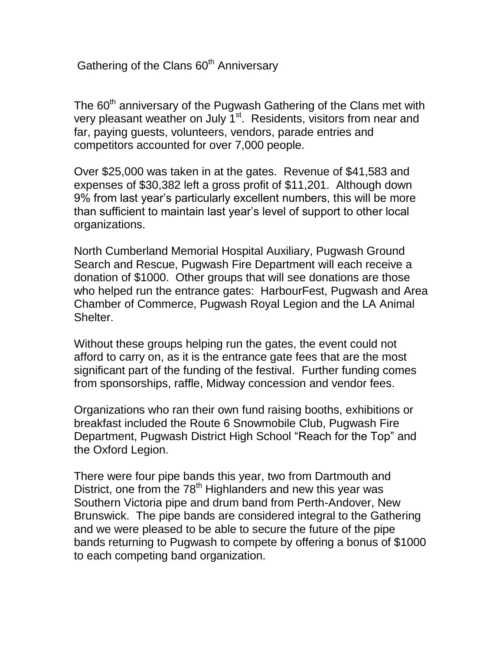Gathering of the Clans 60<sup>th</sup> Anniversary

The  $60<sup>th</sup>$  anniversary of the Pugwash Gathering of the Clans met with very pleasant weather on July 1<sup>st</sup>. Residents, visitors from near and far, paying guests, volunteers, vendors, parade entries and competitors accounted for over 7,000 people.

Over \$25,000 was taken in at the gates. Revenue of \$41,583 and expenses of \$30,382 left a gross profit of \$11,201. Although down 9% from last year's particularly excellent numbers, this will be more than sufficient to maintain last year's level of support to other local organizations.

North Cumberland Memorial Hospital Auxiliary, Pugwash Ground Search and Rescue, Pugwash Fire Department will each receive a donation of \$1000. Other groups that will see donations are those who helped run the entrance gates: HarbourFest, Pugwash and Area Chamber of Commerce, Pugwash Royal Legion and the LA Animal Shelter.

Without these groups helping run the gates, the event could not afford to carry on, as it is the entrance gate fees that are the most significant part of the funding of the festival. Further funding comes from sponsorships, raffle, Midway concession and vendor fees.

Organizations who ran their own fund raising booths, exhibitions or breakfast included the Route 6 Snowmobile Club, Pugwash Fire Department, Pugwash District High School "Reach for the Top" and the Oxford Legion.

There were four pipe bands this year, two from Dartmouth and District, one from the  $78<sup>th</sup>$  Highlanders and new this year was Southern Victoria pipe and drum band from Perth-Andover, New Brunswick. The pipe bands are considered integral to the Gathering and we were pleased to be able to secure the future of the pipe bands returning to Pugwash to compete by offering a bonus of \$1000 to each competing band organization.